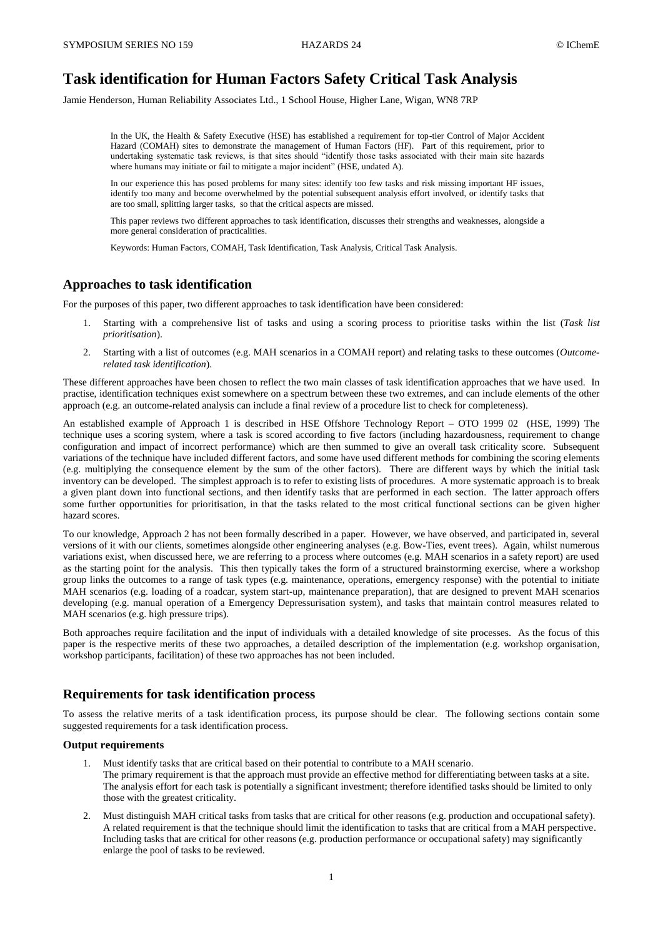# **Task identification for Human Factors Safety Critical Task Analysis**

Jamie Henderson, Human Reliability Associates Ltd., 1 School House, Higher Lane, Wigan, WN8 7RP

In the UK, the Health & Safety Executive (HSE) has established a requirement for top-tier Control of Major Accident Hazard (COMAH) sites to demonstrate the management of Human Factors (HF). Part of this requirement, prior to undertaking systematic task reviews, is that sites should "identify those tasks associated with their main site hazards where humans may initiate or fail to mitigate a major incident" (HSE, undated A).

In our experience this has posed problems for many sites: identify too few tasks and risk missing important HF issues, identify too many and become overwhelmed by the potential subsequent analysis effort involved, or identify tasks that are too small, splitting larger tasks, so that the critical aspects are missed.

This paper reviews two different approaches to task identification, discusses their strengths and weaknesses, alongside a more general consideration of practicalities.

Keywords: Human Factors, COMAH, Task Identification, Task Analysis, Critical Task Analysis.

## **Approaches to task identification**

For the purposes of this paper, two different approaches to task identification have been considered:

- 1. Starting with a comprehensive list of tasks and using a scoring process to prioritise tasks within the list (*Task list prioritisation*).
- 2. Starting with a list of outcomes (e.g. MAH scenarios in a COMAH report) and relating tasks to these outcomes (*Outcomerelated task identification*).

These different approaches have been chosen to reflect the two main classes of task identification approaches that we have used. In practise, identification techniques exist somewhere on a spectrum between these two extremes, and can include elements of the other approach (e.g. an outcome-related analysis can include a final review of a procedure list to check for completeness).

An established example of Approach 1 is described in HSE Offshore Technology Report – OTO 1999 02 (HSE, 1999) The technique uses a scoring system, where a task is scored according to five factors (including hazardousness, requirement to change configuration and impact of incorrect performance) which are then summed to give an overall task criticality score. Subsequent variations of the technique have included different factors, and some have used different methods for combining the scoring elements (e.g. multiplying the consequence element by the sum of the other factors). There are different ways by which the initial task inventory can be developed. The simplest approach is to refer to existing lists of procedures. A more systematic approach is to break a given plant down into functional sections, and then identify tasks that are performed in each section. The latter approach offers some further opportunities for prioritisation, in that the tasks related to the most critical functional sections can be given higher hazard scores.

To our knowledge, Approach 2 has not been formally described in a paper. However, we have observed, and participated in, several versions of it with our clients, sometimes alongside other engineering analyses (e.g. Bow-Ties, event trees). Again, whilst numerous variations exist, when discussed here, we are referring to a process where outcomes (e.g. MAH scenarios in a safety report) are used as the starting point for the analysis. This then typically takes the form of a structured brainstorming exercise, where a workshop group links the outcomes to a range of task types (e.g. maintenance, operations, emergency response) with the potential to initiate MAH scenarios (e.g. loading of a roadcar, system start-up, maintenance preparation), that are designed to prevent MAH scenarios developing (e.g. manual operation of a Emergency Depressurisation system), and tasks that maintain control measures related to MAH scenarios (e.g. high pressure trips).

Both approaches require facilitation and the input of individuals with a detailed knowledge of site processes. As the focus of this paper is the respective merits of these two approaches, a detailed description of the implementation (e.g. workshop organisation, workshop participants, facilitation) of these two approaches has not been included.

## **Requirements for task identification process**

To assess the relative merits of a task identification process, its purpose should be clear. The following sections contain some suggested requirements for a task identification process.

#### **Output requirements**

- 1. Must identify tasks that are critical based on their potential to contribute to a MAH scenario. The primary requirement is that the approach must provide an effective method for differentiating between tasks at a site. The analysis effort for each task is potentially a significant investment; therefore identified tasks should be limited to only those with the greatest criticality.
- 2. Must distinguish MAH critical tasks from tasks that are critical for other reasons (e.g. production and occupational safety). A related requirement is that the technique should limit the identification to tasks that are critical from a MAH perspective. Including tasks that are critical for other reasons (e.g. production performance or occupational safety) may significantly enlarge the pool of tasks to be reviewed.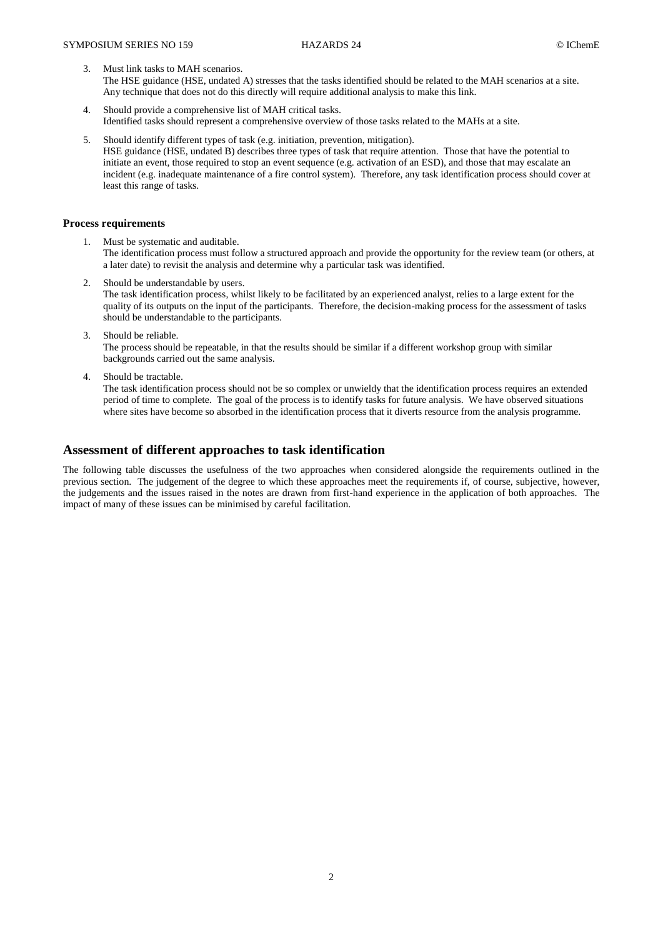- Must link tasks to MAH scenarios. The HSE guidance (HSE, undated A) stresses that the tasks identified should be related to the MAH scenarios at a site. Any technique that does not do this directly will require additional analysis to make this link.
- 4. Should provide a comprehensive list of MAH critical tasks. Identified tasks should represent a comprehensive overview of those tasks related to the MAHs at a site.
- 5. Should identify different types of task (e.g. initiation, prevention, mitigation). HSE guidance (HSE, undated B) describes three types of task that require attention. Those that have the potential to initiate an event, those required to stop an event sequence (e.g. activation of an ESD), and those that may escalate an incident (e.g. inadequate maintenance of a fire control system). Therefore, any task identification process should cover at least this range of tasks.

### **Process requirements**

- 1. Must be systematic and auditable. The identification process must follow a structured approach and provide the opportunity for the review team (or others, at a later date) to revisit the analysis and determine why a particular task was identified.
- 2. Should be understandable by users. The task identification process, whilst likely to be facilitated by an experienced analyst, relies to a large extent for the quality of its outputs on the input of the participants. Therefore, the decision-making process for the assessment of tasks should be understandable to the participants.
- 3. Should be reliable. The process should be repeatable, in that the results should be similar if a different workshop group with similar backgrounds carried out the same analysis.
- 4. Should be tractable.

The task identification process should not be so complex or unwieldy that the identification process requires an extended period of time to complete. The goal of the process is to identify tasks for future analysis. We have observed situations where sites have become so absorbed in the identification process that it diverts resource from the analysis programme.

# **Assessment of different approaches to task identification**

The following table discusses the usefulness of the two approaches when considered alongside the requirements outlined in the previous section. The judgement of the degree to which these approaches meet the requirements if, of course, subjective, however, the judgements and the issues raised in the notes are drawn from first-hand experience in the application of both approaches. The impact of many of these issues can be minimised by careful facilitation.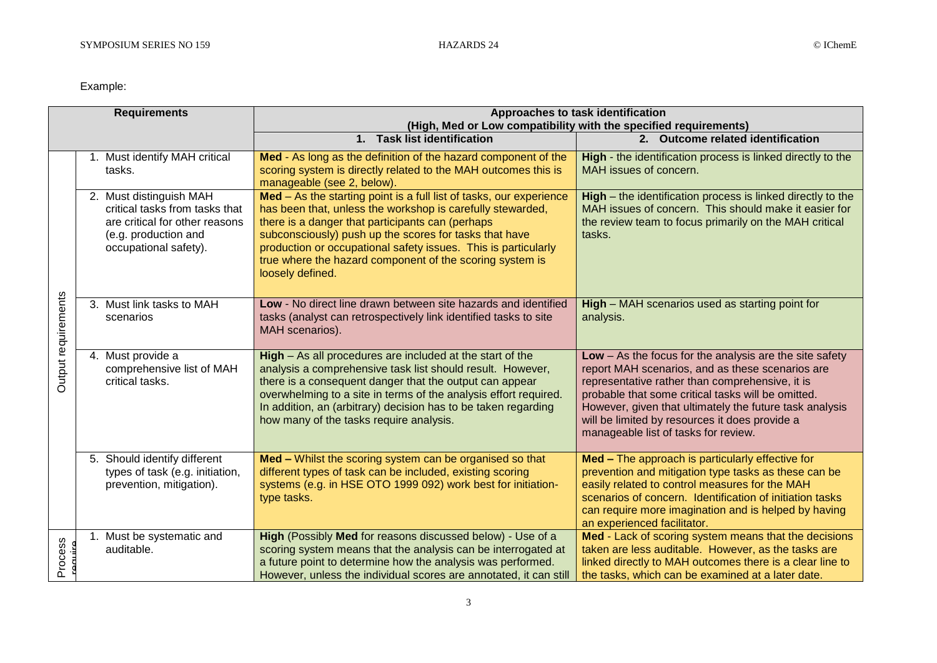# Example:

| <b>Requirements</b> |  |                                                                                                                                              | Approaches to task identification<br>(High, Med or Low compatibility with the specified requirements)                                                                                                                                                                                                                                                                                             |                                                                                                                                                                                                                                                                                                                                                                             |  |
|---------------------|--|----------------------------------------------------------------------------------------------------------------------------------------------|---------------------------------------------------------------------------------------------------------------------------------------------------------------------------------------------------------------------------------------------------------------------------------------------------------------------------------------------------------------------------------------------------|-----------------------------------------------------------------------------------------------------------------------------------------------------------------------------------------------------------------------------------------------------------------------------------------------------------------------------------------------------------------------------|--|
|                     |  |                                                                                                                                              | 1. Task list identification                                                                                                                                                                                                                                                                                                                                                                       | 2. Outcome related identification                                                                                                                                                                                                                                                                                                                                           |  |
| Output requirements |  | 1. Must identify MAH critical<br>tasks.                                                                                                      | Med - As long as the definition of the hazard component of the<br>scoring system is directly related to the MAH outcomes this is<br>manageable (see 2, below).                                                                                                                                                                                                                                    | High - the identification process is linked directly to the<br>MAH issues of concern.                                                                                                                                                                                                                                                                                       |  |
|                     |  | 2. Must distinguish MAH<br>critical tasks from tasks that<br>are critical for other reasons<br>(e.g. production and<br>occupational safety). | Med - As the starting point is a full list of tasks, our experience<br>has been that, unless the workshop is carefully stewarded,<br>there is a danger that participants can (perhaps<br>subconsciously) push up the scores for tasks that have<br>production or occupational safety issues. This is particularly<br>true where the hazard component of the scoring system is<br>loosely defined. | High - the identification process is linked directly to the<br>MAH issues of concern. This should make it easier for<br>the review team to focus primarily on the MAH critical<br>tasks.                                                                                                                                                                                    |  |
|                     |  | 3. Must link tasks to MAH<br>scenarios                                                                                                       | Low - No direct line drawn between site hazards and identified<br>tasks (analyst can retrospectively link identified tasks to site<br>MAH scenarios).                                                                                                                                                                                                                                             | High - MAH scenarios used as starting point for<br>analysis.                                                                                                                                                                                                                                                                                                                |  |
|                     |  | 4. Must provide a<br>comprehensive list of MAH<br>critical tasks.                                                                            | High - As all procedures are included at the start of the<br>analysis a comprehensive task list should result. However,<br>there is a consequent danger that the output can appear<br>overwhelming to a site in terms of the analysis effort required.<br>In addition, an (arbitrary) decision has to be taken regarding<br>how many of the tasks require analysis.                               | $Low - As$ the focus for the analysis are the site safety<br>report MAH scenarios, and as these scenarios are<br>representative rather than comprehensive, it is<br>probable that some critical tasks will be omitted.<br>However, given that ultimately the future task analysis<br>will be limited by resources it does provide a<br>manageable list of tasks for review. |  |
|                     |  | 5. Should identify different<br>types of task (e.g. initiation,<br>prevention, mitigation).                                                  | Med - Whilst the scoring system can be organised so that<br>different types of task can be included, existing scoring<br>systems (e.g. in HSE OTO 1999 092) work best for initiation-<br>type tasks.                                                                                                                                                                                              | Med - The approach is particularly effective for<br>prevention and mitigation type tasks as these can be<br>easily related to control measures for the MAH<br>scenarios of concern. Identification of initiation tasks<br>can require more imagination and is helped by having<br>an experienced facilitator.                                                               |  |
| Process             |  | Must be systematic and<br>auditable.                                                                                                         | High (Possibly Med for reasons discussed below) - Use of a<br>scoring system means that the analysis can be interrogated at<br>a future point to determine how the analysis was performed.<br>However, unless the individual scores are annotated, it can still                                                                                                                                   | Med - Lack of scoring system means that the decisions<br>taken are less auditable. However, as the tasks are<br>linked directly to MAH outcomes there is a clear line to<br>the tasks, which can be examined at a later date.                                                                                                                                               |  |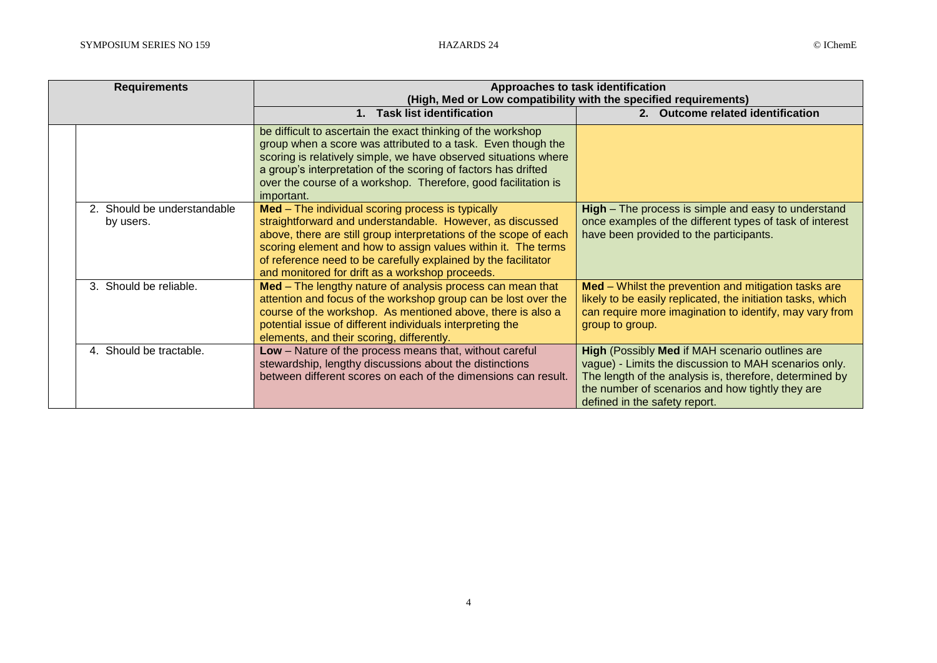|  | <b>Requirements</b>                      | Approaches to task identification<br>(High, Med or Low compatibility with the specified requirements)                                                                                                                                                                                                                                                                     |                                                                                                                                                                                                                                                          |  |
|--|------------------------------------------|---------------------------------------------------------------------------------------------------------------------------------------------------------------------------------------------------------------------------------------------------------------------------------------------------------------------------------------------------------------------------|----------------------------------------------------------------------------------------------------------------------------------------------------------------------------------------------------------------------------------------------------------|--|
|  |                                          | <b>Task list identification</b><br>$\mathbf 1$                                                                                                                                                                                                                                                                                                                            | 2. Outcome related identification                                                                                                                                                                                                                        |  |
|  |                                          | be difficult to ascertain the exact thinking of the workshop<br>group when a score was attributed to a task. Even though the<br>scoring is relatively simple, we have observed situations where<br>a group's interpretation of the scoring of factors has drifted<br>over the course of a workshop. Therefore, good facilitation is<br>important.                         |                                                                                                                                                                                                                                                          |  |
|  | 2. Should be understandable<br>by users. | Med - The individual scoring process is typically<br>straightforward and understandable. However, as discussed<br>above, there are still group interpretations of the scope of each<br>scoring element and how to assign values within it. The terms<br>of reference need to be carefully explained by the facilitator<br>and monitored for drift as a workshop proceeds. | <b>High</b> – The process is simple and easy to understand<br>once examples of the different types of task of interest<br>have been provided to the participants.                                                                                        |  |
|  | 3. Should be reliable.                   | Med - The lengthy nature of analysis process can mean that<br>attention and focus of the workshop group can be lost over the<br>course of the workshop. As mentioned above, there is also a<br>potential issue of different individuals interpreting the<br>elements, and their scoring, differently.                                                                     | Med - Whilst the prevention and mitigation tasks are<br>likely to be easily replicated, the initiation tasks, which<br>can require more imagination to identify, may vary from<br>group to group.                                                        |  |
|  | 4. Should be tractable.                  | Low - Nature of the process means that, without careful<br>stewardship, lengthy discussions about the distinctions<br>between different scores on each of the dimensions can result.                                                                                                                                                                                      | High (Possibly Med if MAH scenario outlines are<br>vague) - Limits the discussion to MAH scenarios only.<br>The length of the analysis is, therefore, determined by<br>the number of scenarios and how tightly they are<br>defined in the safety report. |  |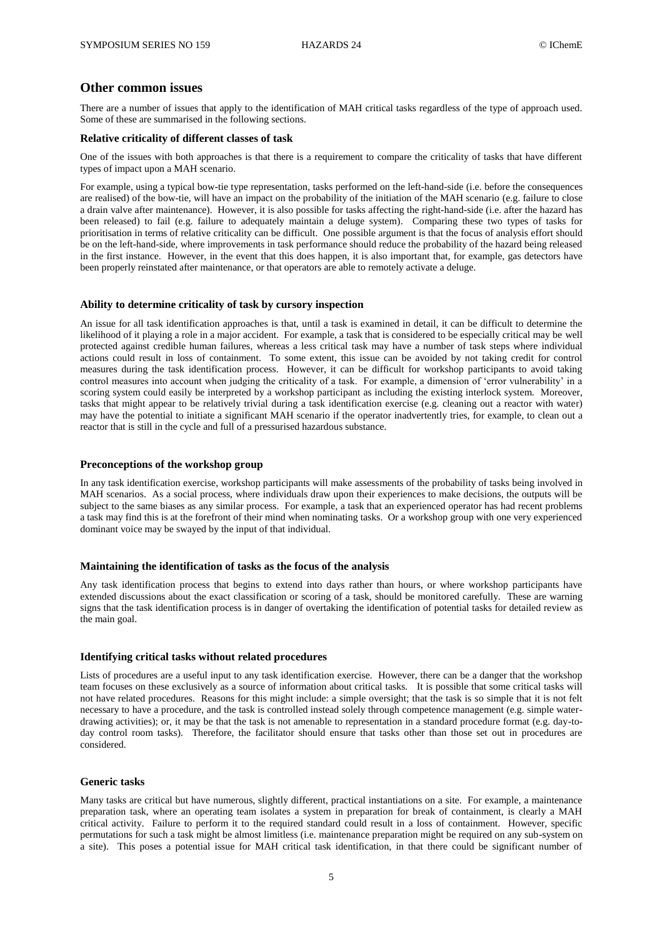## **Other common issues**

There are a number of issues that apply to the identification of MAH critical tasks regardless of the type of approach used. Some of these are summarised in the following sections.

#### **Relative criticality of different classes of task**

One of the issues with both approaches is that there is a requirement to compare the criticality of tasks that have different types of impact upon a MAH scenario.

For example, using a typical bow-tie type representation, tasks performed on the left-hand-side (i.e. before the consequences are realised) of the bow-tie, will have an impact on the probability of the initiation of the MAH scenario (e.g. failure to close a drain valve after maintenance). However, it is also possible for tasks affecting the right-hand-side (i.e. after the hazard has been released) to fail (e.g. failure to adequately maintain a deluge system). Comparing these two types of tasks for prioritisation in terms of relative criticality can be difficult. One possible argument is that the focus of analysis effort should be on the left-hand-side, where improvements in task performance should reduce the probability of the hazard being released in the first instance. However, in the event that this does happen, it is also important that, for example, gas detectors have been properly reinstated after maintenance, or that operators are able to remotely activate a deluge.

#### **Ability to determine criticality of task by cursory inspection**

An issue for all task identification approaches is that, until a task is examined in detail, it can be difficult to determine the likelihood of it playing a role in a major accident. For example, a task that is considered to be especially critical may be well protected against credible human failures, whereas a less critical task may have a number of task steps where individual actions could result in loss of containment. To some extent, this issue can be avoided by not taking credit for control measures during the task identification process. However, it can be difficult for workshop participants to avoid taking control measures into account when judging the criticality of a task. For example, a dimension of 'error vulnerability' in a scoring system could easily be interpreted by a workshop participant as including the existing interlock system. Moreover, tasks that might appear to be relatively trivial during a task identification exercise (e.g. cleaning out a reactor with water) may have the potential to initiate a significant MAH scenario if the operator inadvertently tries, for example, to clean out a reactor that is still in the cycle and full of a pressurised hazardous substance.

#### **Preconceptions of the workshop group**

In any task identification exercise, workshop participants will make assessments of the probability of tasks being involved in MAH scenarios. As a social process, where individuals draw upon their experiences to make decisions, the outputs will be subject to the same biases as any similar process. For example, a task that an experienced operator has had recent problems a task may find this is at the forefront of their mind when nominating tasks. Or a workshop group with one very experienced dominant voice may be swayed by the input of that individual.

#### **Maintaining the identification of tasks as the focus of the analysis**

Any task identification process that begins to extend into days rather than hours, or where workshop participants have extended discussions about the exact classification or scoring of a task, should be monitored carefully. These are warning signs that the task identification process is in danger of overtaking the identification of potential tasks for detailed review as the main goal.

#### **Identifying critical tasks without related procedures**

Lists of procedures are a useful input to any task identification exercise. However, there can be a danger that the workshop team focuses on these exclusively as a source of information about critical tasks. It is possible that some critical tasks will not have related procedures. Reasons for this might include: a simple oversight; that the task is so simple that it is not felt necessary to have a procedure, and the task is controlled instead solely through competence management (e.g. simple waterdrawing activities); or, it may be that the task is not amenable to representation in a standard procedure format (e.g. day-today control room tasks). Therefore, the facilitator should ensure that tasks other than those set out in procedures are considered.

## **Generic tasks**

Many tasks are critical but have numerous, slightly different, practical instantiations on a site. For example, a maintenance preparation task, where an operating team isolates a system in preparation for break of containment, is clearly a MAH critical activity. Failure to perform it to the required standard could result in a loss of containment. However, specific permutations for such a task might be almost limitless (i.e. maintenance preparation might be required on any sub-system on a site). This poses a potential issue for MAH critical task identification, in that there could be significant number of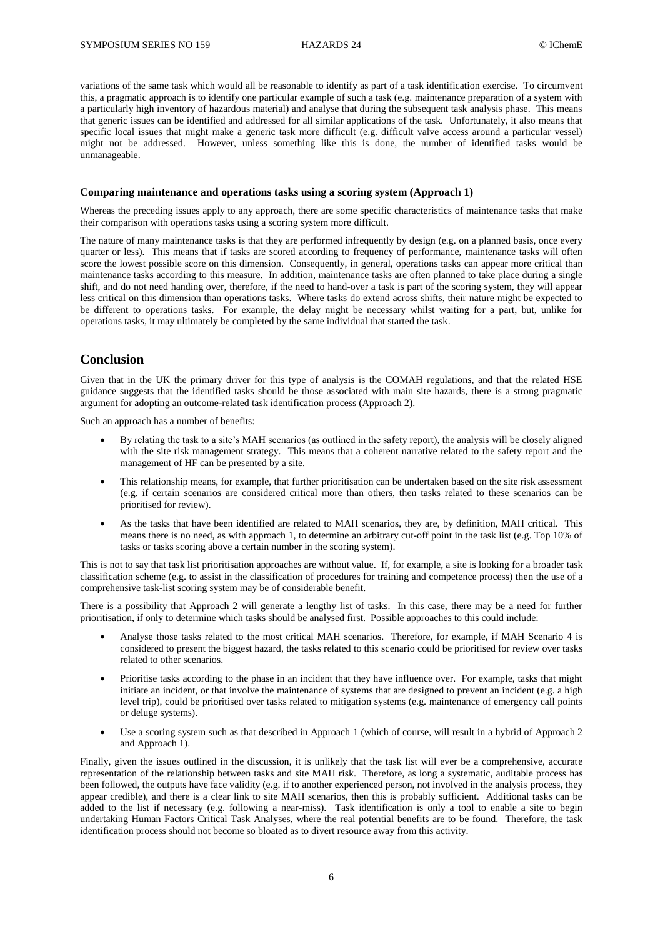variations of the same task which would all be reasonable to identify as part of a task identification exercise. To circumvent this, a pragmatic approach is to identify one particular example of such a task (e.g. maintenance preparation of a system with a particularly high inventory of hazardous material) and analyse that during the subsequent task analysis phase. This means that generic issues can be identified and addressed for all similar applications of the task. Unfortunately, it also means that specific local issues that might make a generic task more difficult (e.g. difficult valve access around a particular vessel) might not be addressed. However, unless something like this is done, the number of identified tasks would be unmanageable.

#### **Comparing maintenance and operations tasks using a scoring system (Approach 1)**

Whereas the preceding issues apply to any approach, there are some specific characteristics of maintenance tasks that make their comparison with operations tasks using a scoring system more difficult.

The nature of many maintenance tasks is that they are performed infrequently by design (e.g. on a planned basis, once every quarter or less). This means that if tasks are scored according to frequency of performance, maintenance tasks will often score the lowest possible score on this dimension. Consequently, in general, operations tasks can appear more critical than maintenance tasks according to this measure. In addition, maintenance tasks are often planned to take place during a single shift, and do not need handing over, therefore, if the need to hand-over a task is part of the scoring system, they will appear less critical on this dimension than operations tasks. Where tasks do extend across shifts, their nature might be expected to be different to operations tasks. For example, the delay might be necessary whilst waiting for a part, but, unlike for operations tasks, it may ultimately be completed by the same individual that started the task.

## **Conclusion**

Given that in the UK the primary driver for this type of analysis is the COMAH regulations, and that the related HSE guidance suggests that the identified tasks should be those associated with main site hazards, there is a strong pragmatic argument for adopting an outcome-related task identification process (Approach 2).

Such an approach has a number of benefits:

- By relating the task to a site's MAH scenarios (as outlined in the safety report), the analysis will be closely aligned with the site risk management strategy. This means that a coherent narrative related to the safety report and the management of HF can be presented by a site.
- This relationship means, for example, that further prioritisation can be undertaken based on the site risk assessment (e.g. if certain scenarios are considered critical more than others, then tasks related to these scenarios can be prioritised for review).
- As the tasks that have been identified are related to MAH scenarios, they are, by definition, MAH critical. This means there is no need, as with approach 1, to determine an arbitrary cut-off point in the task list (e.g. Top 10% of tasks or tasks scoring above a certain number in the scoring system).

This is not to say that task list prioritisation approaches are without value. If, for example, a site is looking for a broader task classification scheme (e.g. to assist in the classification of procedures for training and competence process) then the use of a comprehensive task-list scoring system may be of considerable benefit.

There is a possibility that Approach 2 will generate a lengthy list of tasks. In this case, there may be a need for further prioritisation, if only to determine which tasks should be analysed first. Possible approaches to this could include:

- Analyse those tasks related to the most critical MAH scenarios. Therefore, for example, if MAH Scenario 4 is considered to present the biggest hazard, the tasks related to this scenario could be prioritised for review over tasks related to other scenarios.
- Prioritise tasks according to the phase in an incident that they have influence over. For example, tasks that might initiate an incident, or that involve the maintenance of systems that are designed to prevent an incident (e.g. a high level trip), could be prioritised over tasks related to mitigation systems (e.g. maintenance of emergency call points or deluge systems).
- Use a scoring system such as that described in Approach 1 (which of course, will result in a hybrid of Approach 2 and Approach 1).

Finally, given the issues outlined in the discussion, it is unlikely that the task list will ever be a comprehensive, accurate representation of the relationship between tasks and site MAH risk. Therefore, as long a systematic, auditable process has been followed, the outputs have face validity (e.g. if to another experienced person, not involved in the analysis process, they appear credible), and there is a clear link to site MAH scenarios, then this is probably sufficient. Additional tasks can be added to the list if necessary (e.g. following a near-miss). Task identification is only a tool to enable a site to begin undertaking Human Factors Critical Task Analyses, where the real potential benefits are to be found. Therefore, the task identification process should not become so bloated as to divert resource away from this activity.